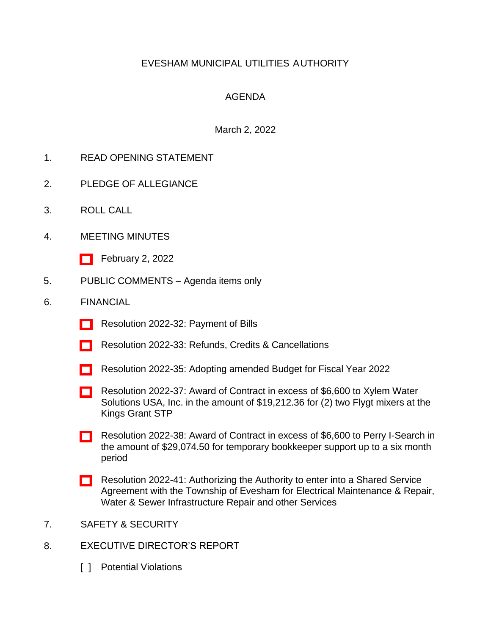### EVESHAM MUNICIPAL UTILITIES AUTHORITY

### AGENDA

#### March 2, 2022

- 1. READ OPENING STATEMENT
- 2. PLEDGE OF ALLEGIANCE
- 3. ROLL CALL
- 4. MEETING MINUTES
	- [\[ \]](http://www.eveshammua.com/wp-content/uploads/2022/03/minutes-2-2-2022.doc) February 2, 2022
- 5. PUBLIC COMMENTS Agenda items only
- 6. FINANCIAL
	- [\[ \]](http://www.eveshammua.com/wp-content/uploads/2022/02/Resolution-2022-32-February-Bill-List.pdf) Resolution 2022-32: Payment of Bills
	- [\[ \]](http://www.eveshammua.com/wp-content/uploads/2022/02/Resolution-2022-33-Refunds.pdf) Resolution 2022-33: Refunds, Credits & Cancellations
	- [\[ \]](http://www.eveshammua.com/wp-content/uploads/2022/02/Resolution-2022-35-Proposed-Budget-amendment-2022.pdf) Resolution 2022-35: Adopting amended Budget for Fiscal Year 2022
	- [\[ \]](http://www.eveshammua.com/wp-content/uploads/2022/02/Resolution-2022-37-Xylem-Water-Solutions.pdf) Resolution 2022-37: Award of Contract in excess of \$6,600 to Xylem Water Solutions USA, Inc. in the amount of \$19,212.36 for (2) two Flygt mixers at the Kings Grant STP
	- [\[ \]](http://www.eveshammua.com/wp-content/uploads/2022/02/Resolution-2022-38-Perry-i-Search.pdf) Resolution 2022-38: Award of Contract in excess of \$6,600 to Perry I-Search in the amount of \$29,074.50 for temporary bookkeeper support up to a six month period
	- [\[ \]](http://www.eveshammua.com/wp-content/uploads/2022/03/Resolution-2022-41-Shared-Services-Agreement-Evesham-Twp.-Electrician.pdf) Resolution 2022-41: Authorizing the Authority to enter into a Shared Service Agreement with the Township of Evesham for Electrical Maintenance & Repair, Water & Sewer Infrastructure Repair and other Services
- 7. SAFETY & SECURITY
- 8. EXECUTIVE DIRECTOR'S REPORT
	- [ ] Potential Violations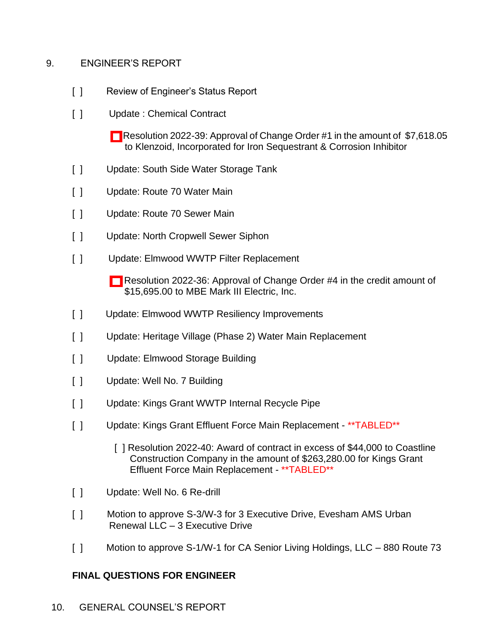#### 9. ENGINEER'S REPORT

- [ ] Review of Engineer's Status Report
- [ ] Update : Chemical Contract
	- [\[ \]](http://www.eveshammua.com/wp-content/uploads/2022/02/Resolution-2022-39-Klenzoid-Inc.Change-Order-1.pdf) Resolution 2022-39: Approval of Change Order #1 in the amount of \$7,618.05 to Klenzoid, Incorporated for Iron Sequestrant & Corrosion Inhibitor
- [ ] Update: South Side Water Storage Tank
- [ ] Update: Route 70 Water Main
- [ ] Update: Route 70 Sewer Main
- [ ] Update: North Cropwell Sewer Siphon
- [ ] Update: Elmwood WWTP Filter Replacement
	- [] Resolution 2022-36: Approval of Change Order #4 in the credit amount of \$15,695.00 to MBE Mark III Electric, Inc.
- [ ] Update: Elmwood WWTP Resiliency Improvements
- [ ] Update: Heritage Village (Phase 2) Water Main Replacement
- [ ] Update: Elmwood Storage Building
- [ ] Update: Well No. 7 Building
- [ ] Update: Kings Grant WWTP Internal Recycle Pipe
- [ ] Update: Kings Grant Effluent Force Main Replacement \*\* TABLED\*\*
	- [ ] Resolution 2022-40: Award of contract in excess of \$44,000 to Coastline Construction Company in the amount of \$263,280.00 for Kings Grant Effluent Force Main Replacement - \*\*TABLED\*\*
- [ ] Update: Well No. 6 Re-drill
- [ ] Motion to approve S-3/W-3 for 3 Executive Drive, Evesham AMS Urban Renewal LLC – 3 Executive Drive
- [ ] Motion to approve S-1/W-1 for CA Senior Living Holdings, LLC 880 Route 73

# **FINAL QUESTIONS FOR ENGINEER**

10. GENERAL COUNSEL'S REPORT